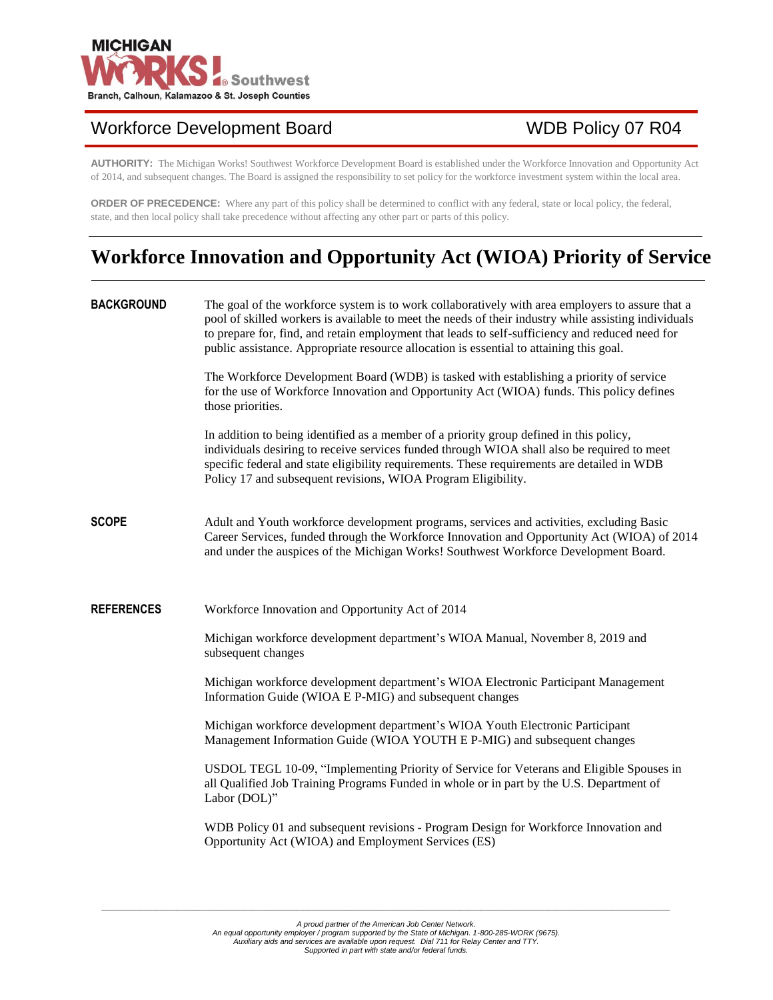

# Workforce Development Board WDB Policy 07 R04

**AUTHORITY:** The Michigan Works! Southwest Workforce Development Board is established under the Workforce Innovation and Opportunity Act of 2014, and subsequent changes. The Board is assigned the responsibility to set policy for the workforce investment system within the local area.

**ORDER OF PRECEDENCE:** Where any part of this policy shall be determined to conflict with any federal, state or local policy, the federal, state, and then local policy shall take precedence without affecting any other part or parts of this policy.

# **Workforce Innovation and Opportunity Act (WIOA) Priority of Service**

| <b>BACKGROUND</b> | The goal of the workforce system is to work collaboratively with area employers to assure that a<br>pool of skilled workers is available to meet the needs of their industry while assisting individuals<br>to prepare for, find, and retain employment that leads to self-sufficiency and reduced need for<br>public assistance. Appropriate resource allocation is essential to attaining this goal. |
|-------------------|--------------------------------------------------------------------------------------------------------------------------------------------------------------------------------------------------------------------------------------------------------------------------------------------------------------------------------------------------------------------------------------------------------|
|                   | The Workforce Development Board (WDB) is tasked with establishing a priority of service<br>for the use of Workforce Innovation and Opportunity Act (WIOA) funds. This policy defines<br>those priorities.                                                                                                                                                                                              |
|                   | In addition to being identified as a member of a priority group defined in this policy,<br>individuals desiring to receive services funded through WIOA shall also be required to meet<br>specific federal and state eligibility requirements. These requirements are detailed in WDB<br>Policy 17 and subsequent revisions, WIOA Program Eligibility.                                                 |
| <b>SCOPE</b>      | Adult and Youth workforce development programs, services and activities, excluding Basic<br>Career Services, funded through the Workforce Innovation and Opportunity Act (WIOA) of 2014<br>and under the auspices of the Michigan Works! Southwest Workforce Development Board.                                                                                                                        |
| <b>REFERENCES</b> | Workforce Innovation and Opportunity Act of 2014                                                                                                                                                                                                                                                                                                                                                       |
|                   | Michigan workforce development department's WIOA Manual, November 8, 2019 and<br>subsequent changes                                                                                                                                                                                                                                                                                                    |
|                   | Michigan workforce development department's WIOA Electronic Participant Management<br>Information Guide (WIOA E P-MIG) and subsequent changes                                                                                                                                                                                                                                                          |
|                   | Michigan workforce development department's WIOA Youth Electronic Participant<br>Management Information Guide (WIOA YOUTH E P-MIG) and subsequent changes                                                                                                                                                                                                                                              |
|                   | USDOL TEGL 10-09, "Implementing Priority of Service for Veterans and Eligible Spouses in<br>all Qualified Job Training Programs Funded in whole or in part by the U.S. Department of<br>Labor (DOL)"                                                                                                                                                                                                   |
|                   | WDB Policy 01 and subsequent revisions - Program Design for Workforce Innovation and<br>Opportunity Act (WIOA) and Employment Services (ES)                                                                                                                                                                                                                                                            |
|                   |                                                                                                                                                                                                                                                                                                                                                                                                        |

*\_\_\_\_\_\_\_\_\_\_\_\_\_\_\_\_\_\_\_\_\_\_\_\_\_\_\_\_\_\_\_\_\_\_\_\_\_\_\_\_\_\_\_\_\_\_\_\_\_\_\_\_\_\_\_\_\_\_\_\_\_\_\_\_\_\_\_\_\_\_\_\_\_\_\_\_\_\_\_\_\_\_\_\_\_\_\_\_\_\_\_\_\_\_\_\_\_\_\_\_\_\_\_\_\_\_\_\_\_\_\_\_\_\_\_\_\_\_\_\_\_\_\_\_\_\_\_\_\_\_\_\_\_\_\_*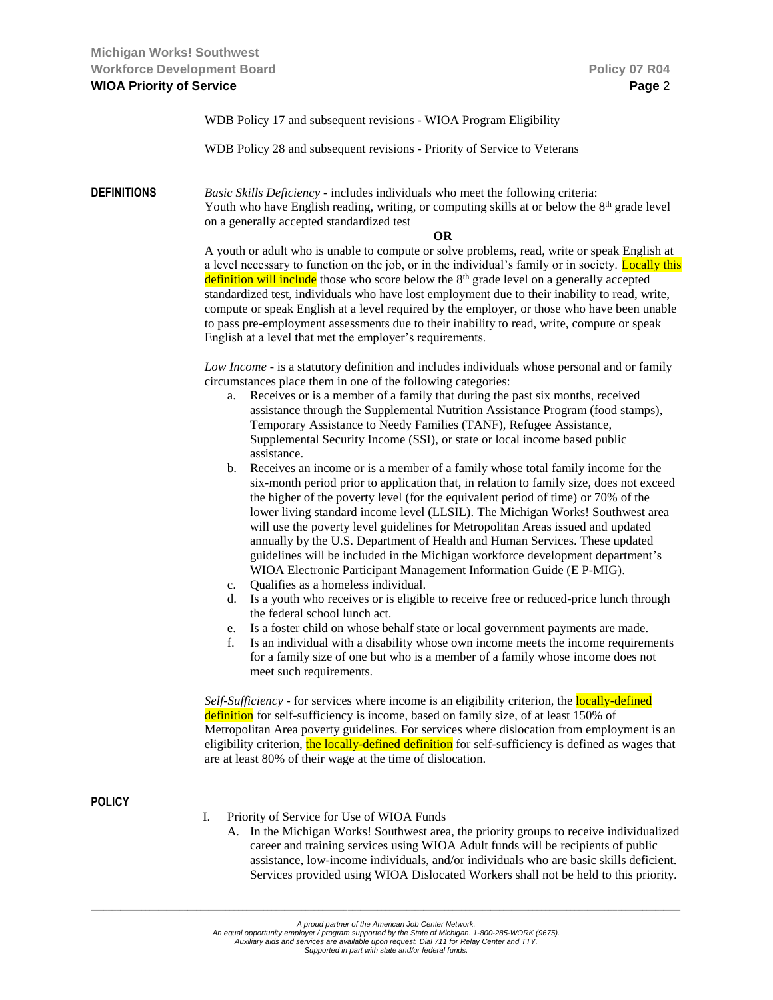WDB Policy 17 and subsequent revisions - WIOA Program Eligibility

WDB Policy 28 and subsequent revisions - Priority of Service to Veterans

**DEFINITIONS** *Basic Skills Deficiency* - includes individuals who meet the following criteria: Youth who have English reading, writing, or computing skills at or below the  $8<sup>th</sup>$  grade level on a generally accepted standardized test

#### **OR**

A youth or adult who is unable to compute or solve problems, read, write or speak English at a level necessary to function on the job, or in the individual's family or in society. Locally this definition will include those who score below the  $8<sup>th</sup>$  grade level on a generally accepted standardized test, individuals who have lost employment due to their inability to read, write, compute or speak English at a level required by the employer, or those who have been unable to pass pre-employment assessments due to their inability to read, write, compute or speak English at a level that met the employer's requirements.

*Low Income* - is a statutory definition and includes individuals whose personal and or family circumstances place them in one of the following categories:

- a. Receives or is a member of a family that during the past six months, received assistance through the Supplemental Nutrition Assistance Program (food stamps), Temporary Assistance to Needy Families (TANF), Refugee Assistance, Supplemental Security Income (SSI), or state or local income based public assistance.
- b. Receives an income or is a member of a family whose total family income for the six-month period prior to application that, in relation to family size, does not exceed the higher of the poverty level (for the equivalent period of time) or 70% of the lower living standard income level (LLSIL). The Michigan Works! Southwest area will use the poverty level guidelines for Metropolitan Areas issued and updated annually by the U.S. Department of Health and Human Services. These updated guidelines will be included in the Michigan workforce development department's WIOA Electronic Participant Management Information Guide (E P-MIG).
- c. Qualifies as a homeless individual.
- d. Is a youth who receives or is eligible to receive free or reduced-price lunch through the federal school lunch act.
- e. Is a foster child on whose behalf state or local government payments are made.
- f. Is an individual with a disability whose own income meets the income requirements for a family size of one but who is a member of a family whose income does not meet such requirements.

*Self-Sufficiency* - for services where income is an eligibility criterion, the **locally-defined** definition for self-sufficiency is income, based on family size, of at least 150% of Metropolitan Area poverty guidelines. For services where dislocation from employment is an eligibility criterion, the locally-defined definition for self-sufficiency is defined as wages that are at least 80% of their wage at the time of dislocation.

### **POLICY**

- I. Priority of Service for Use of WIOA Funds
	- A. In the Michigan Works! Southwest area, the priority groups to receive individualized career and training services using WIOA Adult funds will be recipients of public assistance, low-income individuals, and/or individuals who are basic skills deficient. Services provided using WIOA Dislocated Workers shall not be held to this priority.

*An equal opportunity employer / program supported by the State of Michigan. 1-800-285-WORK (9675). Auxiliary aids and services are available upon request. Dial 711 for Relay Center and TTY.*

*Supported in part with state and/or federal funds.*

*\_\_\_\_\_\_\_\_\_\_\_\_\_\_\_\_\_\_\_\_\_\_\_\_\_\_\_\_\_\_\_\_\_\_\_\_\_\_\_\_\_\_\_\_\_\_\_\_\_\_\_\_\_\_\_\_\_\_\_\_\_\_\_\_\_\_\_\_\_\_\_\_\_\_\_\_\_\_\_\_\_\_\_\_\_\_\_\_\_\_\_\_\_\_\_\_\_\_\_\_\_\_\_\_\_\_\_\_\_\_\_\_\_\_\_\_\_\_\_\_\_\_\_\_\_\_\_\_\_\_\_\_\_\_\_\_\_\_\_\_*

*A proud partner of the American Job Center Network.*